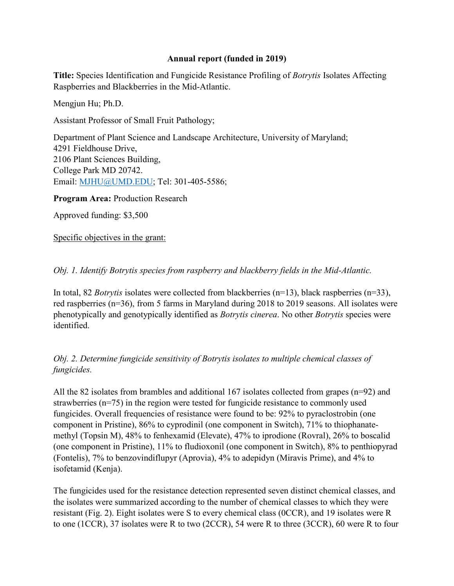## **Annual report (funded in 2019)**

**Title:** Species Identification and Fungicide Resistance Profiling of *Botrytis* Isolates Affecting Raspberries and Blackberries in the Mid-Atlantic.

Mengjun Hu; Ph.D.

Assistant Professor of Small Fruit Pathology;

Department of Plant Science and Landscape Architecture, University of Maryland; 4291 Fieldhouse Drive, 2106 Plant Sciences Building, College Park MD 20742. Email: [MJHU@UMD.EDU;](mailto:MJHU@UMD.EDU) Tel: 301-405-5586;

**Program Area:** Production Research

Approved funding: \$3,500

Specific objectives in the grant:

*Obj. 1. Identify Botrytis species from raspberry and blackberry fields in the Mid-Atlantic.* 

In total, 82 *Botrytis* isolates were collected from blackberries (n=13), black raspberries (n=33), red raspberries (n=36), from 5 farms in Maryland during 2018 to 2019 seasons. All isolates were phenotypically and genotypically identified as *Botrytis cinerea*. No other *Botrytis* species were identified.

*Obj. 2. Determine fungicide sensitivity of Botrytis isolates to multiple chemical classes of fungicides.*

All the 82 isolates from brambles and additional 167 isolates collected from grapes (n=92) and strawberries (n=75) in the region were tested for fungicide resistance to commonly used fungicides. Overall frequencies of resistance were found to be: 92% to pyraclostrobin (one component in Pristine), 86% to cyprodinil (one component in Switch), 71% to thiophanatemethyl (Topsin M), 48% to fenhexamid (Elevate), 47% to iprodione (Rovral), 26% to boscalid (one component in Pristine), 11% to fludioxonil (one component in Switch), 8% to penthiopyrad (Fontelis), 7% to benzovindiflupyr (Aprovia), 4% to adepidyn (Miravis Prime), and 4% to isofetamid (Kenja).

The fungicides used for the resistance detection represented seven distinct chemical classes, and the isolates were summarized according to the number of chemical classes to which they were resistant (Fig. 2). Eight isolates were S to every chemical class (0CCR), and 19 isolates were R to one (1CCR), 37 isolates were R to two (2CCR), 54 were R to three (3CCR), 60 were R to four